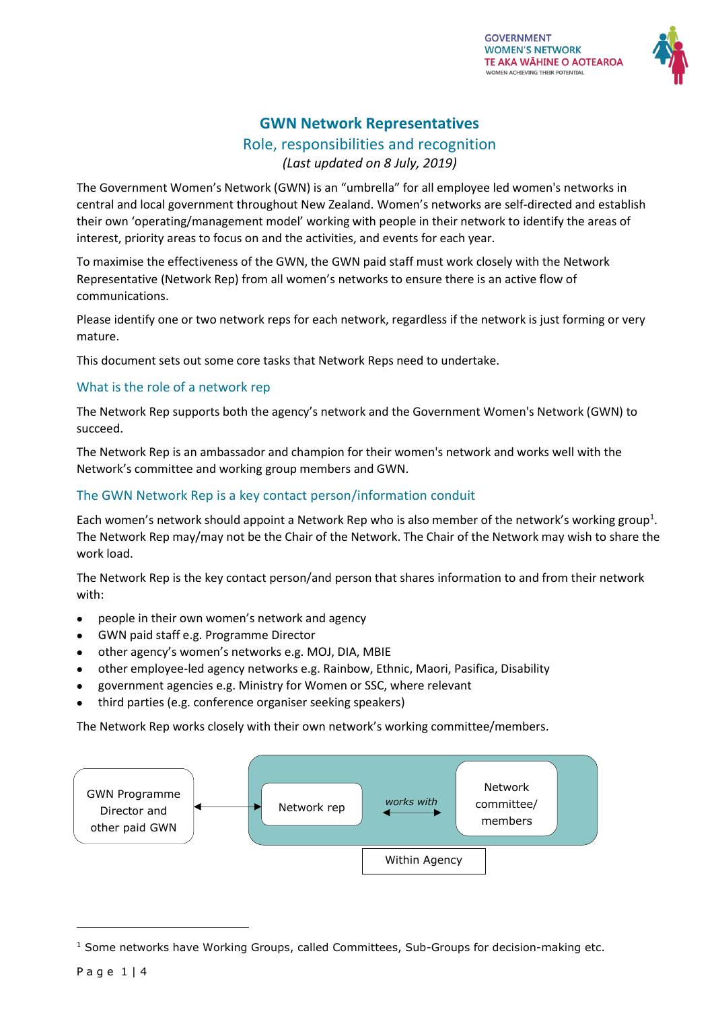

# **GWN Network Representatives**

Role, responsibilities and recognition

*(Last updated on 8 July, 2019)*

The Government Women's Network (GWN) is an "umbrella" for all employee led women's networks in central and local government throughout New Zealand. Women's networks are self-directed and establish their own 'operating/management model' working with people in their network to identify the areas of interest, priority areas to focus on and the activities, and events for each year.

To maximise the effectiveness of the GWN, the GWN paid staff must work closely with the Network Representative (Network Rep) from all women's networks to ensure there is an active flow of communications.

Please identify one or two network reps for each network, regardless if the network is just forming or very mature.

This document sets out some core tasks that Network Reps need to undertake.

# What is the role of a network rep

The Network Rep supports both the agency's network and the Government Women's Network (GWN) to succeed.

The Network Rep is an ambassador and champion for their women's network and works well with the Network's committee and working group members and GWN.

# The GWN Network Rep is a key contact person/information conduit

Each women's network should appoint a Network Rep who is also member of the network's working group<sup>1</sup>. The Network Rep may/may not be the Chair of the Network. The Chair of the Network may wish to share the work load.

The Network Rep is the key contact person/and person that shares information to and from their network with:

- people in their own women's network and agency
- GWN paid staff e.g. Programme Director
- other agency's women's networks e.g. MOJ, DIA, MBIE
- other employee-led agency networks e.g. Rainbow, Ethnic, Maori, Pasifica, Disability
- government agencies e.g. Ministry for Women or SSC, where relevant
- third parties (e.g. conference organiser seeking speakers)

The Network Rep works closely with their own network's working committee/members.



 $1$  Some networks have Working Groups, called Committees, Sub-Groups for decision-making etc.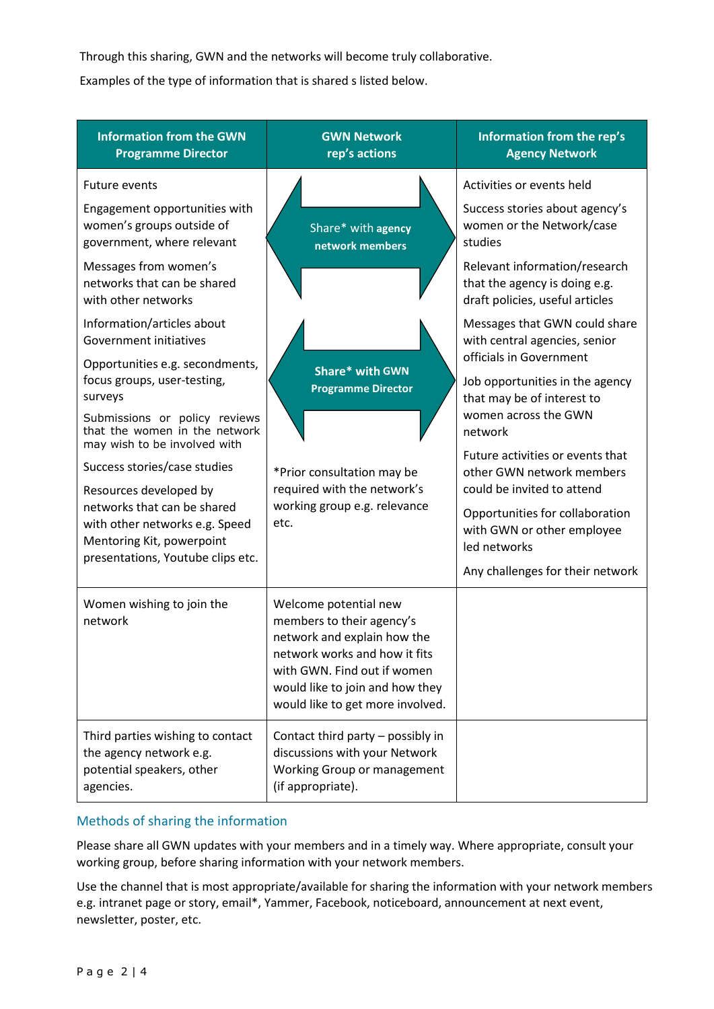Through this sharing, GWN and the networks will become truly collaborative.

Examples of the type of information that is shared s listed below.

| <b>Information from the GWN</b><br><b>Programme Director</b>                                                                                              | <b>GWN Network</b><br>rep's actions                                                                                                                                                                                      | Information from the rep's<br><b>Agency Network</b>                                                         |
|-----------------------------------------------------------------------------------------------------------------------------------------------------------|--------------------------------------------------------------------------------------------------------------------------------------------------------------------------------------------------------------------------|-------------------------------------------------------------------------------------------------------------|
| <b>Future events</b>                                                                                                                                      |                                                                                                                                                                                                                          | Activities or events held                                                                                   |
| Engagement opportunities with<br>women's groups outside of<br>government, where relevant                                                                  | Share* with agency<br>network members                                                                                                                                                                                    | Success stories about agency's<br>women or the Network/case<br>studies                                      |
| Messages from women's<br>networks that can be shared<br>with other networks                                                                               |                                                                                                                                                                                                                          | Relevant information/research<br>that the agency is doing e.g.<br>draft policies, useful articles           |
| Information/articles about<br>Government initiatives                                                                                                      | <b>Share*</b> with GWN<br><b>Programme Director</b><br>*Prior consultation may be<br>required with the network's<br>working group e.g. relevance<br>etc.                                                                 | Messages that GWN could share<br>with central agencies, senior<br>officials in Government                   |
| Opportunities e.g. secondments,<br>focus groups, user-testing,<br>surveys                                                                                 |                                                                                                                                                                                                                          | Job opportunities in the agency<br>that may be of interest to                                               |
| Submissions or policy reviews<br>that the women in the network<br>may wish to be involved with                                                            |                                                                                                                                                                                                                          | women across the GWN<br>network                                                                             |
| Success stories/case studies                                                                                                                              |                                                                                                                                                                                                                          | Future activities or events that<br>other GWN network members                                               |
| Resources developed by<br>networks that can be shared<br>with other networks e.g. Speed<br>Mentoring Kit, powerpoint<br>presentations, Youtube clips etc. |                                                                                                                                                                                                                          | could be invited to attend<br>Opportunities for collaboration<br>with GWN or other employee<br>led networks |
|                                                                                                                                                           |                                                                                                                                                                                                                          | Any challenges for their network                                                                            |
| Women wishing to join the<br>network                                                                                                                      | Welcome potential new<br>members to their agency's<br>network and explain how the<br>network works and how it fits<br>with GWN. Find out if women<br>would like to join and how they<br>would like to get more involved. |                                                                                                             |
| Third parties wishing to contact<br>the agency network e.g.<br>potential speakers, other<br>agencies.                                                     | Contact third party - possibly in<br>discussions with your Network<br>Working Group or management<br>(if appropriate).                                                                                                   |                                                                                                             |

# Methods of sharing the information

Please share all GWN updates with your members and in a timely way. Where appropriate, consult your working group, before sharing information with your network members.

Use the channel that is most appropriate/available for sharing the information with your network members e.g. intranet page or story, email\*, Yammer, Facebook, noticeboard, announcement at next event, newsletter, poster, etc.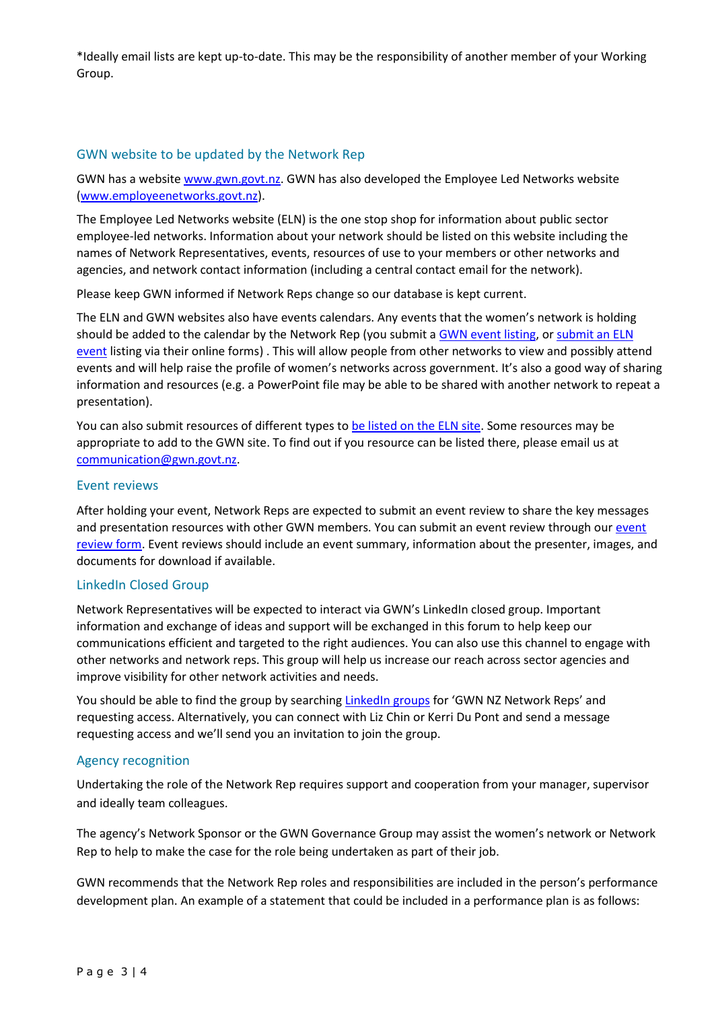\*Ideally email lists are kept up-to-date. This may be the responsibility of another member of your Working Group.

### GWN website to be updated by the Network Rep

GWN has a website [www.gwn.govt.nz.](http://www.gwn.govt.nz/) GWN has also developed the Employee Led Networks website [\(www.employeenetworks.govt.nz\)](http://www.employeenetworks.govt.nz/).

The Employee Led Networks website (ELN) is the one stop shop for information about public sector employee-led networks. Information about your network should be listed on this website including the names of Network Representatives, events, resources of use to your members or other networks and agencies, and network contact information (including a central contact email for the network).

Please keep GWN informed if Network Reps change so our database is kept current.

The ELN and GWN websites also have events calendars. Any events that the women's network is holding should be added to the calendar by the Network Rep (you submit a [GWN event listing,](https://gwn.govt.nz/learning-events/submit-event/) or [submit an ELN](https://employeenetworks.govt.nz/list-network-event/)  [event](https://employeenetworks.govt.nz/list-network-event/) listing via their online forms) . This will allow people from other networks to view and possibly attend events and will help raise the profile of women's networks across government. It's also a good way of sharing information and resources (e.g. a PowerPoint file may be able to be shared with another network to repeat a presentation).

You can also submit resources of different types to [be listed on the ELN site.](https://employeenetworks.govt.nz/submit-network-resource/) Some resources may be appropriate to add to the GWN site. To find out if you resource can be listed there, please email us at [communication@gwn.govt.nz.](mailto:communication@gwn.govt.nz)

#### Event reviews

After holding your event, Network Reps are expected to submit an event review to share the key messages and presentation resources with other GWN members. You can submit an event review through our event [review form.](https://gwn.govt.nz/learning-events/submit-event/) Event reviews should include an event summary, information about the presenter, images, and documents for download if available.

#### LinkedIn Closed Group

Network Representatives will be expected to interact via GWN's LinkedIn closed group. Important information and exchange of ideas and support will be exchanged in this forum to help keep our communications efficient and targeted to the right audiences. You can also use this channel to engage with other networks and network reps. This group will help us increase our reach across sector agencies and improve visibility for other network activities and needs.

You should be able to find the group by searchin[g LinkedIn groups](https://www.linkedin.com/search/results/groups/) for 'GWN NZ Network Reps' and requesting access. Alternatively, you can connect with Liz Chin or Kerri Du Pont and send a message requesting access and we'll send you an invitation to join the group.

#### Agency recognition

Undertaking the role of the Network Rep requires support and cooperation from your manager, supervisor and ideally team colleagues.

The agency's Network Sponsor or the GWN Governance Group may assist the women's network or Network Rep to help to make the case for the role being undertaken as part of their job.

GWN recommends that the Network Rep roles and responsibilities are included in the person's performance development plan. An example of a statement that could be included in a performance plan is as follows: